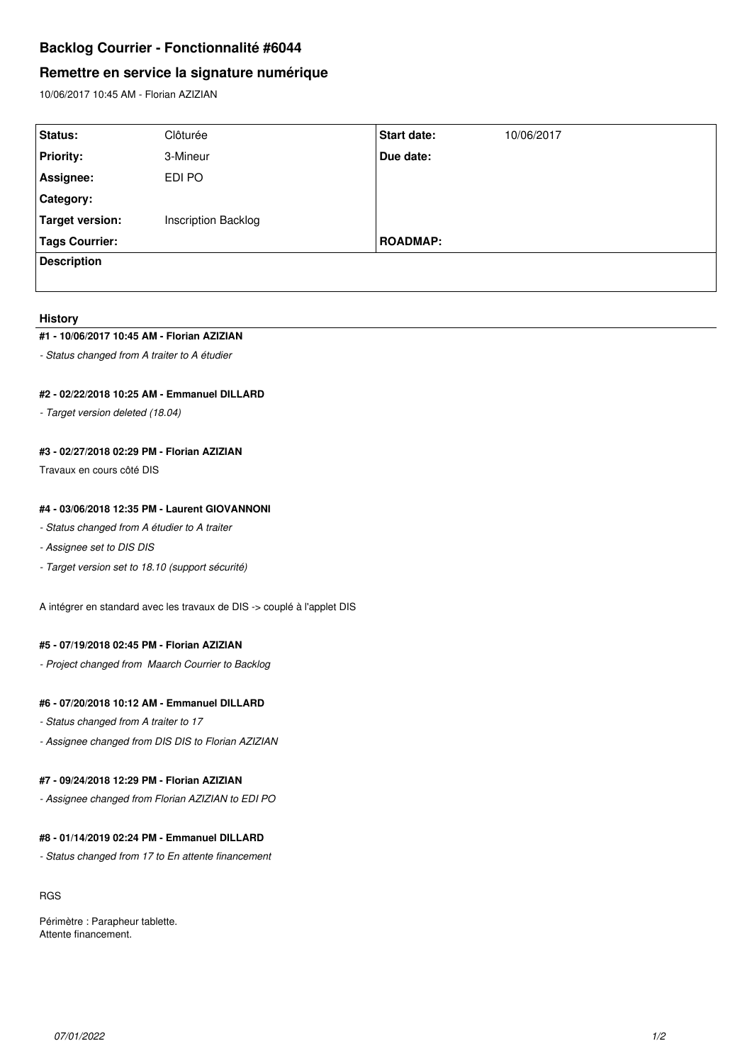# **Backlog Courrier - Fonctionnalité #6044**

# **Remettre en service la signature numérique**

10/06/2017 10:45 AM - Florian AZIZIAN

| Status:            | Clôturée            | Start date:     | 10/06/2017 |
|--------------------|---------------------|-----------------|------------|
| <b>Priority:</b>   | 3-Mineur            | Due date:       |            |
| Assignee:          | EDI PO              |                 |            |
| Category:          |                     |                 |            |
| Target version:    | Inscription Backlog |                 |            |
| Tags Courrier:     |                     | <b>ROADMAP:</b> |            |
| <b>Description</b> |                     |                 |            |
|                    |                     |                 |            |

#### **History**

#### **#1 - 10/06/2017 10:45 AM - Florian AZIZIAN**

*- Status changed from A traiter to A étudier*

#### **#2 - 02/22/2018 10:25 AM - Emmanuel DILLARD**

*- Target version deleted (18.04)*

## **#3 - 02/27/2018 02:29 PM - Florian AZIZIAN**

Travaux en cours côté DIS

### **#4 - 03/06/2018 12:35 PM - Laurent GIOVANNONI**

- *Status changed from A étudier to A traiter*
- *Assignee set to DIS DIS*
- *Target version set to 18.10 (support sécurité)*

A intégrer en standard avec les travaux de DIS -> couplé à l'applet DIS

#### **#5 - 07/19/2018 02:45 PM - Florian AZIZIAN**

*- Project changed from Maarch Courrier to Backlog*

## **#6 - 07/20/2018 10:12 AM - Emmanuel DILLARD**

- *Status changed from A traiter to 17*
- *Assignee changed from DIS DIS to Florian AZIZIAN*

#### **#7 - 09/24/2018 12:29 PM - Florian AZIZIAN**

*- Assignee changed from Florian AZIZIAN to EDI PO*

## **#8 - 01/14/2019 02:24 PM - Emmanuel DILLARD**

*- Status changed from 17 to En attente financement*

RGS

Périmètre : Parapheur tablette. Attente financement.